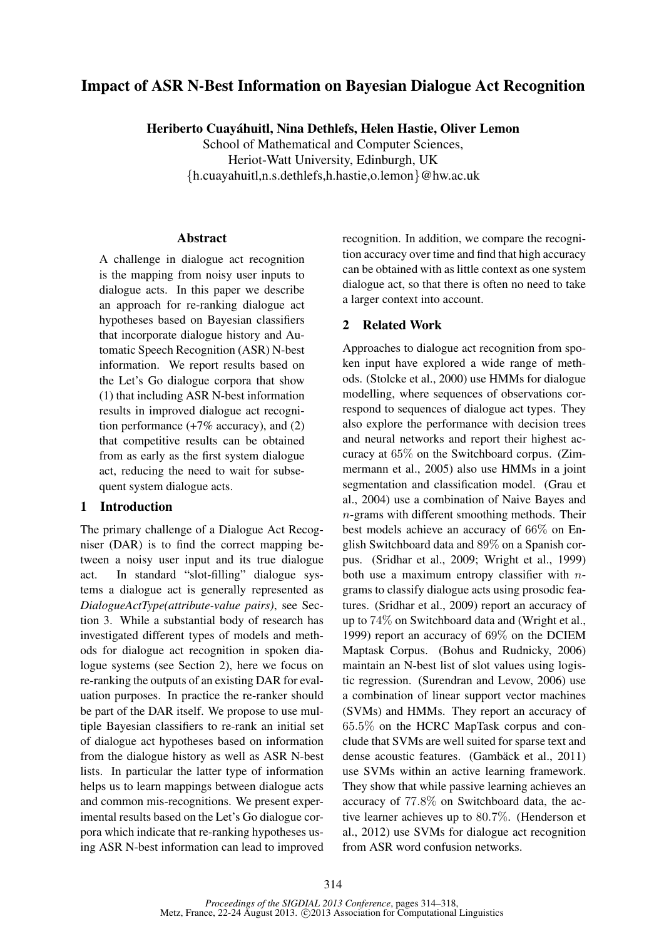# Impact of ASR N-Best Information on Bayesian Dialogue Act Recognition

Heriberto Cuayahuitl, Nina Dethlefs, Helen Hastie, Oliver Lemon ´

School of Mathematical and Computer Sciences, Heriot-Watt University, Edinburgh, UK {h.cuayahuitl,n.s.dethlefs,h.hastie,o.lemon}@hw.ac.uk

### Abstract

A challenge in dialogue act recognition is the mapping from noisy user inputs to dialogue acts. In this paper we describe an approach for re-ranking dialogue act hypotheses based on Bayesian classifiers that incorporate dialogue history and Automatic Speech Recognition (ASR) N-best information. We report results based on the Let's Go dialogue corpora that show (1) that including ASR N-best information results in improved dialogue act recognition performance  $(+7\% \text{ accuracy})$ , and  $(2)$ that competitive results can be obtained from as early as the first system dialogue act, reducing the need to wait for subsequent system dialogue acts.

## 1 Introduction

The primary challenge of a Dialogue Act Recogniser (DAR) is to find the correct mapping between a noisy user input and its true dialogue act. In standard "slot-filling" dialogue systems a dialogue act is generally represented as *DialogueActType(attribute-value pairs)*, see Section 3. While a substantial body of research has investigated different types of models and methods for dialogue act recognition in spoken dialogue systems (see Section 2), here we focus on re-ranking the outputs of an existing DAR for evaluation purposes. In practice the re-ranker should be part of the DAR itself. We propose to use multiple Bayesian classifiers to re-rank an initial set of dialogue act hypotheses based on information from the dialogue history as well as ASR N-best lists. In particular the latter type of information helps us to learn mappings between dialogue acts and common mis-recognitions. We present experimental results based on the Let's Go dialogue corpora which indicate that re-ranking hypotheses using ASR N-best information can lead to improved recognition. In addition, we compare the recognition accuracy over time and find that high accuracy can be obtained with as little context as one system dialogue act, so that there is often no need to take a larger context into account.

## 2 Related Work

Approaches to dialogue act recognition from spoken input have explored a wide range of methods. (Stolcke et al., 2000) use HMMs for dialogue modelling, where sequences of observations correspond to sequences of dialogue act types. They also explore the performance with decision trees and neural networks and report their highest accuracy at 65% on the Switchboard corpus. (Zimmermann et al., 2005) also use HMMs in a joint segmentation and classification model. (Grau et al., 2004) use a combination of Naive Bayes and n-grams with different smoothing methods. Their best models achieve an accuracy of 66% on English Switchboard data and 89% on a Spanish corpus. (Sridhar et al., 2009; Wright et al., 1999) both use a maximum entropy classifier with  $n$ grams to classify dialogue acts using prosodic features. (Sridhar et al., 2009) report an accuracy of up to 74% on Switchboard data and (Wright et al., 1999) report an accuracy of 69% on the DCIEM Maptask Corpus. (Bohus and Rudnicky, 2006) maintain an N-best list of slot values using logistic regression. (Surendran and Levow, 2006) use a combination of linear support vector machines (SVMs) and HMMs. They report an accuracy of 65.5% on the HCRC MapTask corpus and conclude that SVMs are well suited for sparse text and dense acoustic features. (Gambäck et al., 2011) use SVMs within an active learning framework. They show that while passive learning achieves an accuracy of 77.8% on Switchboard data, the active learner achieves up to 80.7%. (Henderson et al., 2012) use SVMs for dialogue act recognition from ASR word confusion networks.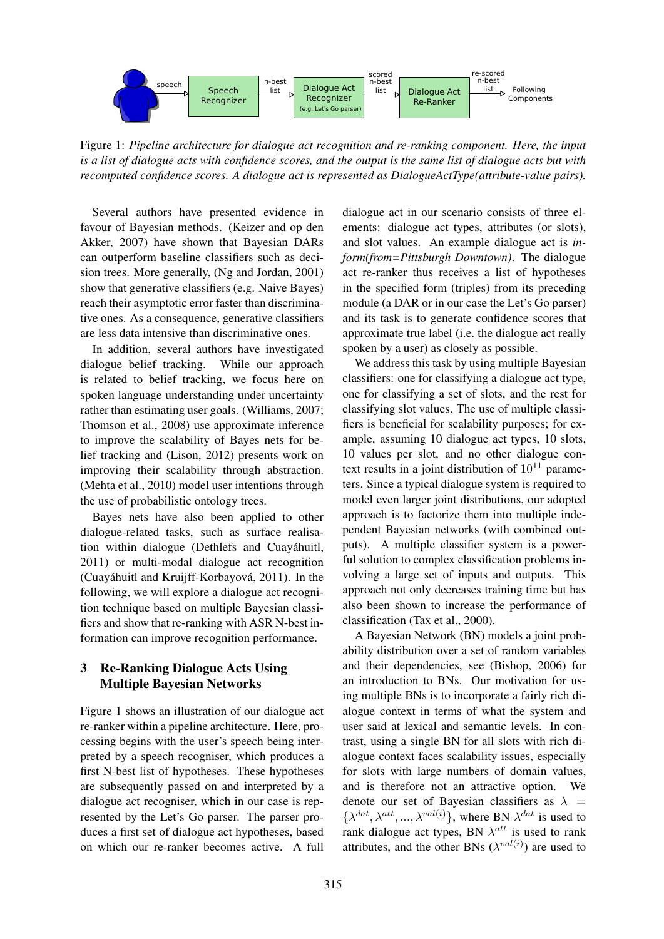

Figure 1: *Pipeline architecture for dialogue act recognition and re-ranking component. Here, the input is a list of dialogue acts with confidence scores, and the output is the same list of dialogue acts but with recomputed confidence scores. A dialogue act is represented as DialogueActType(attribute-value pairs).*

Several authors have presented evidence in favour of Bayesian methods. (Keizer and op den Akker, 2007) have shown that Bayesian DARs can outperform baseline classifiers such as decision trees. More generally, (Ng and Jordan, 2001) show that generative classifiers (e.g. Naive Bayes) reach their asymptotic error faster than discriminative ones. As a consequence, generative classifiers are less data intensive than discriminative ones.

In addition, several authors have investigated dialogue belief tracking. While our approach is related to belief tracking, we focus here on spoken language understanding under uncertainty rather than estimating user goals. (Williams, 2007; Thomson et al., 2008) use approximate inference to improve the scalability of Bayes nets for belief tracking and (Lison, 2012) presents work on improving their scalability through abstraction. (Mehta et al., 2010) model user intentions through the use of probabilistic ontology trees.

Bayes nets have also been applied to other dialogue-related tasks, such as surface realisation within dialogue (Dethlefs and Cuayahuitl, ´ 2011) or multi-modal dialogue act recognition (Cuayáhuitl and Kruijff-Korbayová, 2011). In the following, we will explore a dialogue act recognition technique based on multiple Bayesian classifiers and show that re-ranking with ASR N-best information can improve recognition performance.

## 3 Re-Ranking Dialogue Acts Using Multiple Bayesian Networks

Figure 1 shows an illustration of our dialogue act re-ranker within a pipeline architecture. Here, processing begins with the user's speech being interpreted by a speech recogniser, which produces a first N-best list of hypotheses. These hypotheses are subsequently passed on and interpreted by a dialogue act recogniser, which in our case is represented by the Let's Go parser. The parser produces a first set of dialogue act hypotheses, based on which our re-ranker becomes active. A full

dialogue act in our scenario consists of three elements: dialogue act types, attributes (or slots), and slot values. An example dialogue act is *inform(from=Pittsburgh Downtown)*. The dialogue act re-ranker thus receives a list of hypotheses in the specified form (triples) from its preceding module (a DAR or in our case the Let's Go parser) and its task is to generate confidence scores that approximate true label (i.e. the dialogue act really spoken by a user) as closely as possible.

We address this task by using multiple Bayesian classifiers: one for classifying a dialogue act type, one for classifying a set of slots, and the rest for classifying slot values. The use of multiple classifiers is beneficial for scalability purposes; for example, assuming 10 dialogue act types, 10 slots, 10 values per slot, and no other dialogue context results in a joint distribution of  $10^{11}$  parameters. Since a typical dialogue system is required to model even larger joint distributions, our adopted approach is to factorize them into multiple independent Bayesian networks (with combined outputs). A multiple classifier system is a powerful solution to complex classification problems involving a large set of inputs and outputs. This approach not only decreases training time but has also been shown to increase the performance of classification (Tax et al., 2000).

A Bayesian Network (BN) models a joint probability distribution over a set of random variables and their dependencies, see (Bishop, 2006) for an introduction to BNs. Our motivation for using multiple BNs is to incorporate a fairly rich dialogue context in terms of what the system and user said at lexical and semantic levels. In contrast, using a single BN for all slots with rich dialogue context faces scalability issues, especially for slots with large numbers of domain values, and is therefore not an attractive option. We denote our set of Bayesian classifiers as  $\lambda$  =  $\{\lambda^{dat}, \lambda^{att}, ..., \lambda^{val(i)}\}$ , where BN  $\lambda^{dat}$  is used to rank dialogue act types, BN  $\lambda^{att}$  is used to rank attributes, and the other BNs  $(\lambda^{val(i)})$  are used to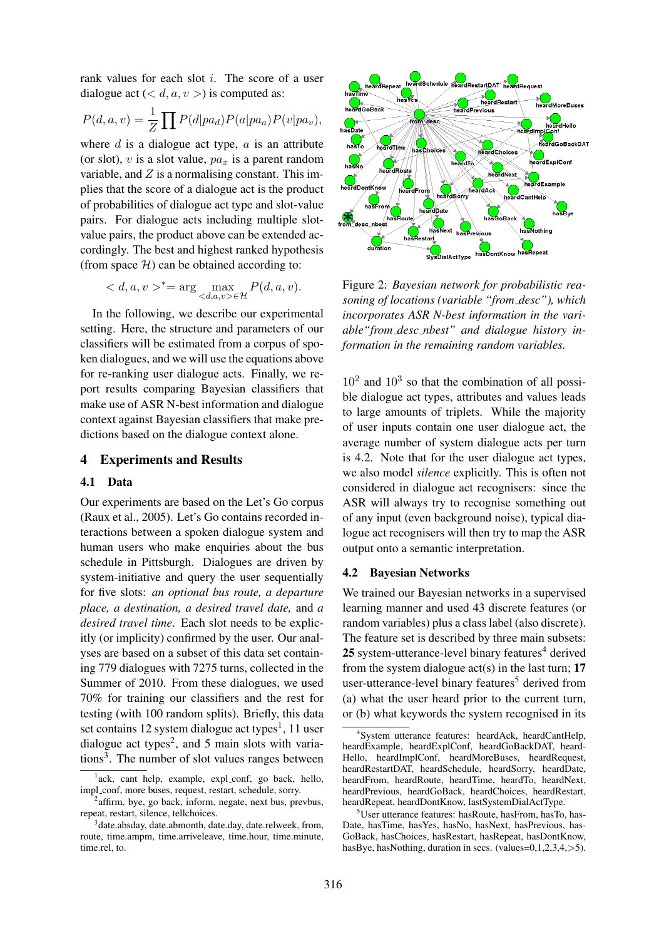rank values for each slot i. The score of a user dialogue act  $( $d, a, v>$ ) is computed as:$ 

$$
P(d, a, v) = \frac{1}{Z} \prod P(d|pa_d) P(a|pa_a) P(v|pa_v),
$$

where  $d$  is a dialogue act type,  $a$  is an attribute (or slot), v is a slot value,  $pa<sub>x</sub>$  is a parent random variable, and  $Z$  is a normalising constant. This implies that the score of a dialogue act is the product of probabilities of dialogue act type and slot-value pairs. For dialogue acts including multiple slotvalue pairs, the product above can be extended accordingly. The best and highest ranked hypothesis (from space  $H$ ) can be obtained according to:

$$
\langle d, a, v \rangle^* = \arg \max_{\langle d, a, v \rangle \in \mathcal{H}} P(d, a, v).
$$

In the following, we describe our experimental setting. Here, the structure and parameters of our classifiers will be estimated from a corpus of spoken dialogues, and we will use the equations above for re-ranking user dialogue acts. Finally, we report results comparing Bayesian classifiers that make use of ASR N-best information and dialogue context against Bayesian classifiers that make predictions based on the dialogue context alone.

### 4 Experiments and Results

#### 4.1 Data

Our experiments are based on the Let's Go corpus (Raux et al., 2005). Let's Go contains recorded interactions between a spoken dialogue system and human users who make enquiries about the bus schedule in Pittsburgh. Dialogues are driven by system-initiative and query the user sequentially for five slots: *an optional bus route, a departure place, a destination, a desired travel date,* and *a desired travel time*. Each slot needs to be explicitly (or implicity) confirmed by the user. Our analyses are based on a subset of this data set containing 779 dialogues with 7275 turns, collected in the Summer of 2010. From these dialogues, we used 70% for training our classifiers and the rest for testing (with 100 random splits). Briefly, this data set contains 12 system dialogue act types<sup>1</sup>, 11 user dialogue act types<sup>2</sup>, and 5 main slots with variations<sup>3</sup>. The number of slot values ranges between



Figure 2: *Bayesian network for probabilistic reasoning of locations (variable "from desc"), which incorporates ASR N-best information in the variable"from desc nbest" and dialogue history information in the remaining random variables.*

 $10^2$  and  $10^3$  so that the combination of all possible dialogue act types, attributes and values leads to large amounts of triplets. While the majority of user inputs contain one user dialogue act, the average number of system dialogue acts per turn is 4.2. Note that for the user dialogue act types, we also model *silence* explicitly. This is often not considered in dialogue act recognisers: since the ASR will always try to recognise something out of any input (even background noise), typical dialogue act recognisers will then try to map the ASR output onto a semantic interpretation.

### 4.2 Bayesian Networks

We trained our Bayesian networks in a supervised learning manner and used 43 discrete features (or random variables) plus a class label (also discrete). The feature set is described by three main subsets: 25 system-utterance-level binary features $4$  derived from the system dialogue  $act(s)$  in the last turn; 17 user-utterance-level binary features<sup>5</sup> derived from (a) what the user heard prior to the current turn, or (b) what keywords the system recognised in its

<sup>&</sup>lt;sup>1</sup>ack, cant help, example, expl\_conf, go back, hello, impl\_conf, more buses, request, restart, schedule, sorry.

<sup>&</sup>lt;sup>2</sup>affirm, bye, go back, inform, negate, next bus, prevbus, repeat, restart, silence, tellchoices.

<sup>&</sup>lt;sup>3</sup>date.absday, date.abmonth, date.day, date.relweek, from, route, time.ampm, time.arriveleave, time.hour, time.minute, time.rel, to.

<sup>4</sup> System utterance features: heardAck, heardCantHelp, heardExample, heardExplConf, heardGoBackDAT, heard-Hello, heardImplConf, heardMoreBuses, heardRequest, heardRestartDAT, heardSchedule, heardSorry, heardDate, heardFrom, heardRoute, heardTime, heardTo, heardNext. heardPrevious, heardGoBack, heardChoices, heardRestart, heardRepeat, heardDontKnow, lastSystemDialActType.

<sup>5</sup>User utterance features: hasRoute, hasFrom, hasTo, has-Date, hasTime, hasYes, hasNo, hasNext, hasPrevious, has-GoBack, hasChoices, hasRestart, hasRepeat, hasDontKnow, hasBye, hasNothing, duration in secs. (values=0,1,2,3,4,>5).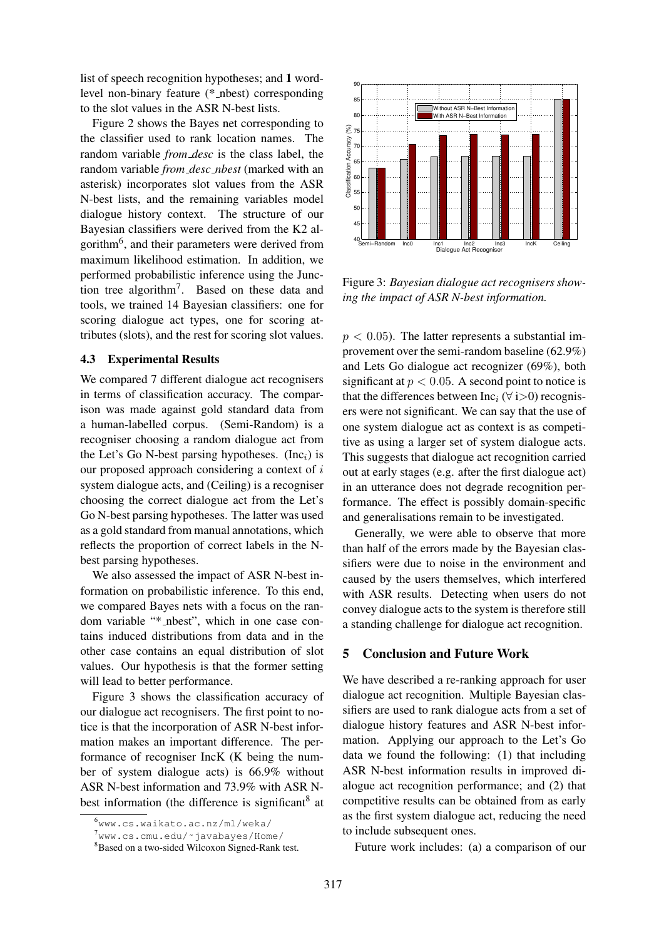list of speech recognition hypotheses; and 1 wordlevel non-binary feature (\* nbest) corresponding to the slot values in the ASR N-best lists.

Figure 2 shows the Bayes net corresponding to the classifier used to rank location names. The random variable *from desc* is the class label, the random variable *from desc nbest* (marked with an asterisk) incorporates slot values from the ASR N-best lists, and the remaining variables model dialogue history context. The structure of our Bayesian classifiers were derived from the K2 algorithm<sup>6</sup>, and their parameters were derived from maximum likelihood estimation. In addition, we performed probabilistic inference using the Junction tree algorithm<sup>7</sup>. Based on these data and tools, we trained 14 Bayesian classifiers: one for scoring dialogue act types, one for scoring attributes (slots), and the rest for scoring slot values.

### 4.3 Experimental Results

We compared 7 different dialogue act recognisers in terms of classification accuracy. The comparison was made against gold standard data from a human-labelled corpus. (Semi-Random) is a recogniser choosing a random dialogue act from the Let's Go N-best parsing hypotheses. (Inc<sub>i</sub>) is our proposed approach considering a context of i system dialogue acts, and (Ceiling) is a recogniser choosing the correct dialogue act from the Let's Go N-best parsing hypotheses. The latter was used as a gold standard from manual annotations, which reflects the proportion of correct labels in the Nbest parsing hypotheses.

We also assessed the impact of ASR N-best information on probabilistic inference. To this end, we compared Bayes nets with a focus on the random variable "\* nbest", which in one case contains induced distributions from data and in the other case contains an equal distribution of slot values. Our hypothesis is that the former setting will lead to better performance.

Figure 3 shows the classification accuracy of our dialogue act recognisers. The first point to notice is that the incorporation of ASR N-best information makes an important difference. The performance of recogniser IncK (K being the number of system dialogue acts) is 66.9% without ASR N-best information and 73.9% with ASR Nbest information (the difference is significant<sup>8</sup> at



Figure 3: *Bayesian dialogue act recognisers showing the impact of ASR N-best information.*

 $p < 0.05$ ). The latter represents a substantial improvement over the semi-random baseline (62.9%) and Lets Go dialogue act recognizer (69%), both significant at  $p < 0.05$ . A second point to notice is that the differences between  $Inc_i$  ( $\forall$  i>0) recognisers were not significant. We can say that the use of one system dialogue act as context is as competitive as using a larger set of system dialogue acts. This suggests that dialogue act recognition carried out at early stages (e.g. after the first dialogue act) in an utterance does not degrade recognition performance. The effect is possibly domain-specific and generalisations remain to be investigated.

Generally, we were able to observe that more than half of the errors made by the Bayesian classifiers were due to noise in the environment and caused by the users themselves, which interfered with ASR results. Detecting when users do not convey dialogue acts to the system is therefore still a standing challenge for dialogue act recognition.

### 5 Conclusion and Future Work

We have described a re-ranking approach for user dialogue act recognition. Multiple Bayesian classifiers are used to rank dialogue acts from a set of dialogue history features and ASR N-best information. Applying our approach to the Let's Go data we found the following: (1) that including ASR N-best information results in improved dialogue act recognition performance; and (2) that competitive results can be obtained from as early as the first system dialogue act, reducing the need to include subsequent ones.

Future work includes: (a) a comparison of our

<sup>6</sup>www.cs.waikato.ac.nz/ml/weka/

<sup>7</sup>www.cs.cmu.edu/˜javabayes/Home/

<sup>8</sup>Based on a two-sided Wilcoxon Signed-Rank test.